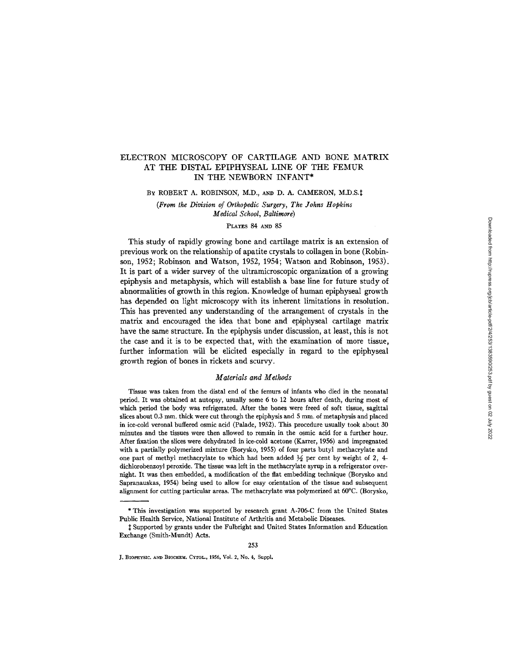# ELECTRON MICROSCOPY OF CARTILAGE AND BONE MATRIX AT THE DISTAL EPIPHYSEAL LINE OF THE FEMUR IN THE NEWBORN INFANT\*

BY ROBERT A. ROBINSON, M.D., AND D. A. CAMERON, M.D.S.‡

*(From the Division of Orthopedic Surgery, The Johns Hopkins Medical School, Baltimore)* 

#### PLATES 84 AND 85

This study of rapidly growing bone and cartilage matrix is an extension of previous work on the relationship of apatite crystals to collagen in bone (Robinson, 1952; Robinson and Watson, 1952, 1954; Watson and Robinson, 1953). It is part of a wider survey of the ultramicroscopic organization of a growing epiphysis and metaphysis, which will establish a base line for future study of abnormalities of growth in this region. Knowledge of human epiphyseal growth has depended on light microscopy with its inherent limitations in resolution. This has prevented any understanding of the arrangement of crystals in the matrix and encouraged the idea that bone and epiphyseal cartilage matrix have the same structure. In the epiphysis under discussion, at least, this is not the case and it is to be expected that, with the examination of more tissue, further information will be elicited especially in regard to the epiphyseal growth region of bones in rickets aud scurvy.

## *Materials and Methods*

Tissue was taken from the distal end of the femurs of infants who died in the neonatal period. It was obtained at autopsy, usually some 6 to 12 hours after death, during most of which period the body was refrigerated. After the bones were freed of soft tissue, sagittai slices about 0.3 mm. thick were cut through the epiphysis and 5 mm. of metaphysis and placed in ice-cold veronal buffered osmic acid (Palade, 1952). This procedure usually took about 30 minutes and the tissues were then allowed to remain in the osmic acid for a further hour. After fixation the slices were dehydrated in ice-cold acetone (Karrer, 1956) and impregnated with a partially polymerized mixture (Borysko, 1955) of four parts butyl methacrylate and one part of methyl methacrylate to which had been added  $\frac{1}{2}$  per cent by weight of 2, 4dichlorobenzoy] peroxide. The tissue was left in the methacrylate syrup in a refrigerator overnight. It was then embedded, a modification of the flat embedding technique (Borysko and Sapranauskas, 1954) being used to allow for easy orientation of the tissue and subsequent alignment for cutting particular areas. The methacrylate was polymerized at 60°C. (Borysko,

<sup>\*</sup> This investigation was supported by research grant A-706-C from the United States Public Health Service, National Institute of Arthritis and Metabolic Diseases.

<sup>~;</sup> Supported by grants under the Fulbright and United States Information and Education Exchange (Smith-Mundt) Acts.

J. BIOPHYSIC. AND BIOCHEM. CYTOL., 1956, Vol. 2, No. 4, Suppl.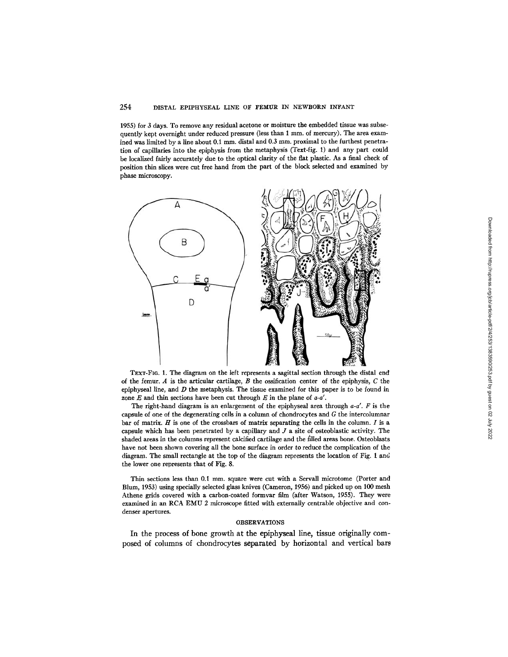## 254 DISTAL EPIPHYSEAL LINE OF FEMUR IN NEWBORN INFANT

1955) for 3 days. To remove any residual acetone or moisture the embedded tissue was subsequently kept overnight under reduced pressure (less than 1 mm. of mercury). The area examined was limited by a line about 0.1 mm. distal and 0.3 mm. proximal to the furthest penetration of capillaries into the epiphysis from the metaphysis (Text-fig. 1) and any part could be localized fairly accurately due to the optical clarity of the flat plastic. As a final check of position thin slices were cut free hand from the part of the block selected and examined by phase microscopy.



TEXT-Fro. 1. The diagram on the left represents a sagittal section through the distal end of the femur. A is the articular cartilage,  $B$  the ossification center of the epiphysis,  $C$  the epiphyseal line, and  $D$  the metaphysis. The tissue examined for this paper is to be found in zone  $E$  and thin sections have been cut through  $E$  in the plane of  $a-a'$ .

The right-hand diagram is an enlargement of the epiphyseal area through *a-a'. F* is the capsule of one of the degenerating cells in a column of chondrocytes and G the intercolumnar bar of matrix.  $H$  is one of the crossbars of matrix separating the cells in the column.  $I$  is a capsule which has been penetrated by a capillary and J a site of osteoblastic activity. The shaded areas in the columns represent calcified cartilage and the filled areas bone. Osteoblasts have not been shown covering all the bone surface in order to reduce the complication of the diagram. The small rectangle at the top of the diagram represents the location of Fig. 1 and the lower one represents that of Fig. 8.

Thin sections less than 0.I mm. square were cut with a Servall microtome (Porter and Blum, 1953) using specially selected glass knives (Cameron, 1956) and picked up on 100 mesh Athene grids covered with a carbon-coated formvar film (after Watson, 1955). They were examined in an RCA EMU 2 microscope fitted with externally centrable objective and condenser apertures.

#### OBSERVATIONS

In the process of bone growth at the epiphyseal line, tissue originally composed of columns of chondrocytes separated by horizontal and vertical bars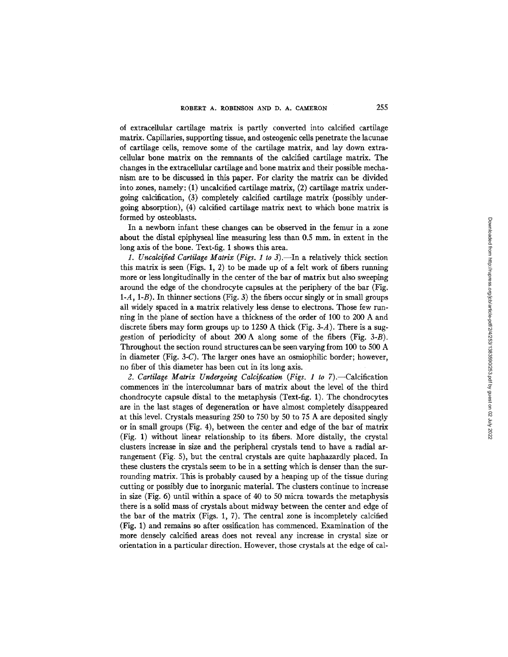of extracellular cartilage matrix is partly converted into calcified cartilage matrix. Capillaries, supporting tissue, and osteogenic cells penetrate the lacunae of cartilage cells, remove some of the cartilage matrix, and lay down extracellular bone matrix on the remnants of the calcified cartilage matrix. The changes in the extracellular cartilage and bone matrix and their possible mechanism are to be discussed in this paper. For clarity the matrix can be divided into zones, namely: (1) uncalcified cartilage matrix, (2) cartilage matrix undergoing calcification, (3) completely calcified cartilage matrix (possibly undergoing absorption), (4) calcified cartilage matrix next to which bone matrix is formed by osteoblasts.

In a newborn infant these changes can be observed in the femur in a zone about the distal epiphyseal line measuring less than 0.5 mm. in extent in the long axis of the bone. Text-fig. 1 shows this area.

1. Uncalcified Cartilage Matrix (Figs. 1 to 3).—In a relatively thick section this matrix is seen (Figs. 1, 2) to be made up of a felt work of fibers running more or less longitudinally in the center of the bar of matrix but also sweeping around the edge of the chondrocyte capsules at the periphery of the bar (Fig. *I-A,* I-B). In thinner sections (Fig. 3) the fibers occur singly or in small groups all widely spaced in a matrix relatively less dense to electrons. Those few running in the plane of section have a thickness of the order of 100 to 200 A and discrete fibers may form groups up to 1250 A thick (Fig.  $3-A$ ). There is a suggestion of periodicity of about 200 A along some of the fibers (Fig. 3-B). Throughout the section round structures can be seen varying from 100 to 500 A in diameter (Fig. 3-C). The larger ones have an osmiophilic border; however, no fiber of this diameter has been cut in its long axis.

2. Cartilage Matrix Undergoing Calcification (Figs. 1 to 7).—Calcification commences in' the intercolumnar bars of matrix about the level of the third chondrocyte capsule distal to the metaphysis (Text-fig. 1). The chondrocytes are in the last stages of degeneration or have almost completely disappeared at this level. Crystals measuring 250 to 750 by 50 to 75 A are deposited singly or in small groups (Fig. 4), between the center and edge of the bar of matrix (Fig. 1) without linear relationship to its fibers. More distally, the crystal clusters increase in size and the peripheral crystals tend to have a radial arrangement (Fig. 5), but the central crystals are quite haphazardly placed. In these clusters the crystals seem to be in a setting which is denser than the surrounding matrix. This is probably caused by a heaping up of the tissue during cutting or possibly due to inorganic material. The clusters continue to increase in size (Fig. 6) until within a space of 40 to 50 micra towards the metaphysis there is a solid mass of crystals about midway between the center and edge of the bar of the matrix (Figs. 1, 7). The central zone is incompletely calcified (Fig. 1) and remains so after ossification has commenced. Examination of the more densely calcified areas does not reveal any increase in crystal size or orientation in a particular direction. However, those crystals at the edge of cal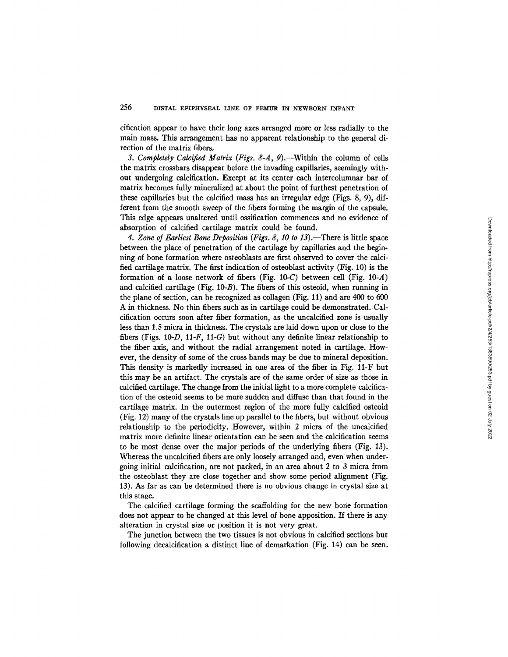cification appear to have their long axes arranged more or less radially to the main mass. This arrangement has no apparent relationship to the general direction of the matrix fibers.

3. Completely Calcified Matrix (Figs. 8-A, 9).—Within the column of cells the matrix crossbars disappear before the invading capillaries, seemingly without undergoing calcification. Except at its center each intercolumnar bar of matrix becomes fully mineralized at about the point of furthest penetration of these capillaries but the calcified mass has an irregular edge (Figs. 8, 9), different from the smooth sweep of the fibers forming the margin of the capsule. This edge appears unaltered until ossification commences and no evidence of absorption of calcified cartilage matrix could be found.

4. Zone of Earliest Bone Deposition (Figs. 8, 10 to 13).—There is little space between the place of penetration of the cartilage by capillaries and the beginning of bone formation where osteoblasts are first observed to cover the calcified cartilage matrix. The first indication of osteoblast activity (Fig. 10) is the formation of a loose network of fibers (Fig. 10-C) between cell (Fig. 10-A) and calcified cartilage (Fig. 10-B). The fibers of this osteoid, when running in the plane of section, can be recognized as collagen (Fig. 11) and are 400 to 600 A in thickness. No thin fibers such as in cartilage could be demonstrated. Calcification occurs soon after fiber formation, as the uncalcified zone is usually less than 1.5 micra in thickness. The crystals are laid down upon or close to the fibers (Figs.  $10-D$ ,  $11-F$ ,  $11-G$ ) but without any definite linear relationship to the fiber axis, and without the radial arrangement noted in cartilage. However, the density of some of the cross bands may be due to mineral deposition. This density is markedly increased in one area of the fiber in Fig. 11-F but this may be an artifact. The crystals are of the same order of size as those in calcified cartilage. The change from the initial light to a more complete calcification of the osteoid seems to be more sudden and diffuse than that found in the cartilage matrix. In the outermost region of the more fully calcified osteoid (Fig. 12) many of the crystals line up parallel to the fibers, but without obvious relationship to the periodicity. However, within 2 micra of the uncalcified matrix more definite linear orientation can be seen and the calcification seems to be most dense over the major periods of the underlying fibers (Fig. 13). Whereas the uncalcified fibers are only loosely arranged and, even when undergoing initial calcification, are not packed, in an area about 2 to 3 micra from the osteoblast they are close together and show some period alignment (Fig. 13). As far as can be determined there is no obvious change in crystal size at this stage.

The calcified cartilage forming the scaffolding for the new bone formation does not appear to be changed at this level of bone apposition. If there is any alteration in crystal size or position it is not very great.

The junction between the two tissues is not obvious in calcified sections but following decalcification a distinct line of demarkation (Fig. 14) can be seen.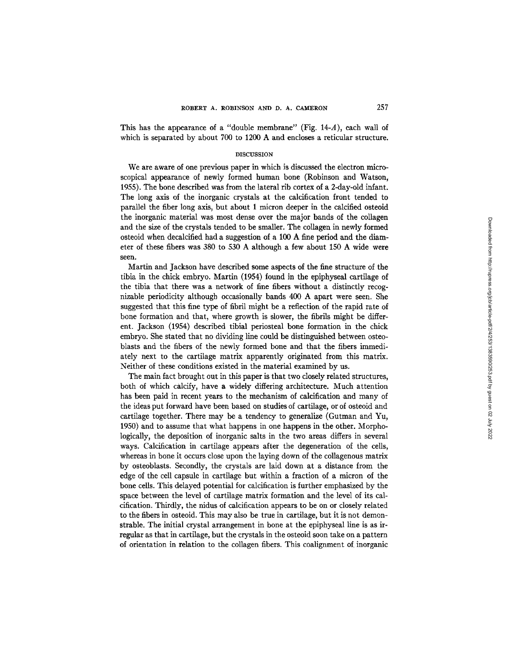This has the appearance of a "double membrane" (Fig.  $14-A$ ), each wall of which is separated by about 700 to 1200 A and encloses a reticular structure.

#### DISCUSSION

We are aware of one previous paper in which is discussed the electron microscopical appearance of newly formed human bone (Robinson and Watson, 1955). The bone described was from the lateral rib cortex of a 2-day-old infant. The long axis of the inorganic crystals at the calcification front tended to parallel the fiber long axis, but about 1 micron deeper in the calcified osteoid the inorganic material was most dense over the major bands of the collagen and the size of the crystals tended to be smaller. The collagen in newly formed osteoid when decalcified had a suggestion of a 100 A fine period and the diameter of these fibers was 380 to 530 A although a few about 150 A wide were seen.

Martin and Jackson have described some aspects of the fine structure of the tibia in the chick embryo. Martin (1954) found in the epiphyseal cartilage of the tibia that there was a network of fine fibers without a distinctly recognizable periodicity although occasionally bands 400 A apart were seen. She suggested that this fine type of fibril might be a reflection of the rapid rate of bone formation and that, where growth is slower, the fibrils might be different. Jackson (1954) described tibial periosteal bone formation in the chick embryo. She stated that no dividing line could be distinguished between osteoblasts and the fibers of the newly formed bone and that the fibers immediately next to the cartilage matrix apparently originated from this matrix. Neither of these conditions existed in the material examined by us.

The main fact brought out in this paper is that two closely related structures, both of which calcify, have a widely differing architecture. Much attention has been paid in recent years to the mechanism of calcification and many of the ideas put forward have been based on studies of cartilage, or of osteoid and cartilage together. There may be a tendency to generalize (Gutman and Yu, 1950) and to assume that what happens in one happens in the other. Morphologically, the deposition of inorganic salts in the two areas differs in several ways. Calcification in cartilage appears after the degeneration of the cells, whereas in bone it occurs close upon the laying down of the collagenous matrix by osteoblasts. Secondly, the crystals are laid down at a distance from the edge of the cell capsule in cartilage but within a fraction of a micron of the bone cells. This delayed potential for calcification is further emphasized by the space between the level of cartilage matrix formation and the level of its calcification. Thirdly, the nidus of calcification appears to be on or closely related to the fibers in osteoid. This may also be true in cartilage, but it is not demonstrable. The initial crystal arrangement in bone at the epiphyseal line is as irregular as that in cartilage, but the crystals in the osteoid soon take on a pattern of orientation in relation to the collagen fibers. This coalignment of inorganic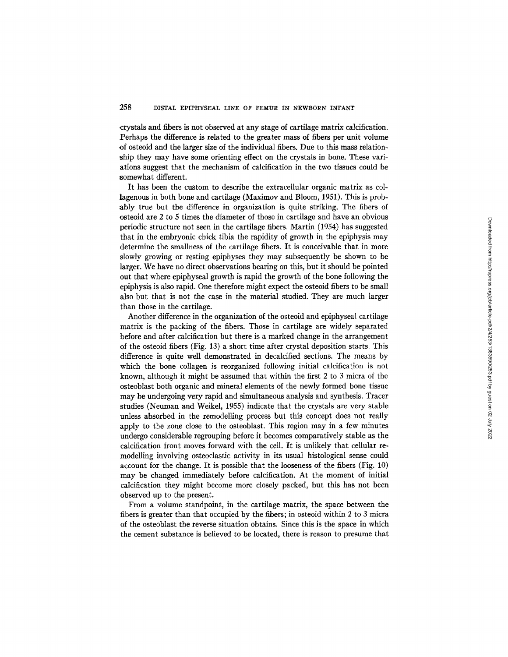crystals and fibers is not observed at any stage of cartilage matrix calcification. Perhaps the difference is related to the greater mass of fibers per unit volume of osteoid and the larger size of the individual fibers. Due to this mass relationship they may have some orienting effect on the crystals in bone. These variations suggest that the mechanism of calcification in the two tissues could be somewhat different.

It has been the custom to describe the extracellular organic matrix as collagenous in both bone and cartilage (Maximov and Bloom, 1951). This is probably true but the difference in organization is quite striking. The fibers of osteoid are 2 to 5 times the diameter of those in cartilage and have an obvious periodic structure not seen in the cartilage fibers. Martin (1954) has suggested that in the embryonic chick tibia the rapidity of growth in the epiphysis may determine the smallness of the cartilage fibers. It is conceivable that in more slowly growing or resting epiphyses they may subsequently be shown to be larger. We have no direct observations bearing on this, but it should be pointed out that where epiphyseal growth is rapid the growth of the bone following the epiphysis is also rapid. One therefore might expect the osteoid fibers to be small also but that is not the case in the material studied. They are much larger than those in the cartilage.

Another difference in the organization of the osteoid and epiphyseal cartilage matrix is the packing of the fibers. Those in cartilage are widely separated before and after calcification but there is a marked change in the arrangement of the osteoid fibers (Fig. 13) a short time after crystal deposition starts. This difference is quite well demonstrated in decalcified sections. The means by which the bone collagen is reorganized following initial calcification is not known, although it might be assumed that within the first 2 to 3 micra of the osteoblast both organic and mineral elements of the newly formed bone tissue may be undergoing very rapid and simultaneous analysis and synthesis. Tracer studies (Neuman and Weikel, 1955) indicate that the crystals are very stable unless absorbed in the remodelling process but this concept does not really apply to the zone close to the osteoblast. This region may in a few minutes undergo considerable regrouping before it becomes comparatively stable as the calcification front moves forward with the cell. It is unlikely that cellular remodelling involving osteoclastic activity in its usual histological sense could account for the change. It is possible that the looseness of the fibers (Fig. 10) may be changed immediately before calcification. At the moment of initial calcification they might become more closely packed, but this has not been observed up to the present.

From a volume standpoint, in the cartilage matrix, the space between the fibers is greater than that occupied by the fibers; in osteoid within 2 to 3 micra of the osteoblast the reverse situation obtains. Since this is the space in which the cement substance is believed to be located, there is reason to presume that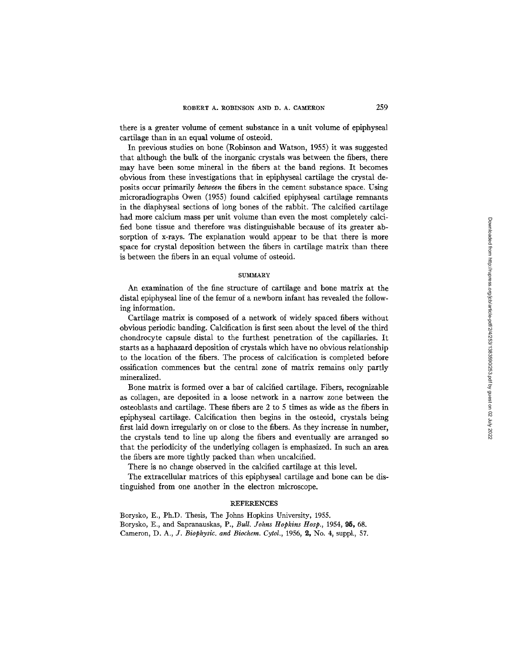there is a greater volume of cement substance in a unit volume of epiphyseal cartilage than in an equal volume of osteoid.

In previous studies on bone (Robinson and Watson, 1955) it was suggested that although the bulk of the inorganic crystals was between the fibers, there may have been some mineral in the fibers at the band regions. It becomes obvious from these investigations that in epiphyseal cartilage the crystal deposits occur primarily *between* the fibers in the cement substance space. Using microradiographs Owen (1955) found calcified epiphyseal cartilage remnants in the diaphyseal sections of long bones of the rabbit. The calcified cartilage had more calcium mass per unit volume than even the most completely calcified bone tissue and therefore was distinguishable because of its greater absorption of x-rays. The explanation would appear to be that there is more space for crystal deposition between the fibers in cartilage matrix than there is between the fibers in an equal volume of osteoid.

### **SUMMARY**

An examination of the fine structure of cartilage and bone matrix at the distal epiphyseal line of the femur of a newborn infant has revealed the following information.

Cartilage matrix is composed of a network of widely spaced fibers without obvious periodic banding: Calcification is first seen about the level of the third chondrocyte capsule distal to the furthest penetration of the capillaries. It starts as a haphazard deposition of crystals which have no obvious relationship to the location of the fibers. The process of calcification is completed before ossification commences but the central zone of matrix remains only partly mineralized.

Bone matrix is formed over a bar of calcified cartilage. Fibers, recognizable as collagen, are deposited in a loose network in a narrow zone between the osteoblasts and cartilage. These fibers are 2 to 5 times as wide as the fibers in epiphyseal cartilage. Calcification then begins in the osteoid, crystals being first laid down irregularly on or close to the fibers. As they increase in number, the crystals tend to line up along the fibers and eventually are arranged so that the periodicity of the underlying collagen is emphasized. In such an area the fibers are more tightly packed than when uncalcified.

There is no change observed in the calcified cartilage at this level.

The extracellular matrices of this epiphyseal cartilage and bone can be distinguished from one another in the electron microscope.

#### REFERENCES

Borysko, E., Ph.D. Thesis, The Johns Hopkins University, 1955. Borysko, E., and Sapranauskas, P., *Bull. Johns Hopkins Hosp.,* 1954, 95, 68. Cameron, D. A., *J. Biophysic. and Biochem. Cytol.*, 1956, 2, No. 4, suppl., 57.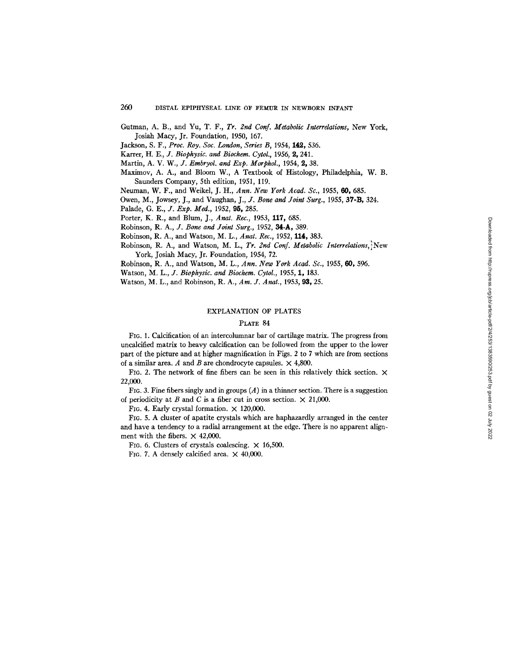- Gutman, A. B., and Yu, T. F., *Tr. 2nd Conf. Metabolic Interrelations,* New York, Josiah Macy, Jr. Foundation, 1950, 167.
- Jackson, S. F., *Proc. Roy. Soc. London, Series B*, 1954, 142, 536.
- Karrer, *H. E., J. Biophysic. and Biochem. Cytol.,* 1956, 2, 241.
- Martin, *A. V. W., J. Embryol. and Exp. Morphol.,* 1954, 2, 38.
- Maximov, A. A., and Bloom W., A Textbook of Histology, Philadelphia, W. B. Saunders Company, 5th edition, 1951, 119.
- Neuman, W. F., and Weikel, J. H., *Ann. New York Acad. Sc.,* 1955, 60, 685.
- Owen, M., Jowsey, J., and Vaughan, *J., J. Bone and Joint Surg.,* 1955, 37-B, 324.
- Palade, *G. E., J. Exp. Med.,* 1952, 95, 285.
- Porter, K. R., and Blum, J., *Anat. Rec.,* 1953, 117, 685.
- Robinson, *R. A., J. Bone and Joint Surg.,* 1952, 34-A, 389.
- Robinson, R. A., and Watson, *M. L., Anat. Rec.,* 1952, 114, 383.
- Robinson, R. A., and Watson, M. L., *Tr. 2nd Conf. Metabolic Interrelations, i New*  York, Josiah Macy, Jr. Foundation, 1954, 72.
- Robinson, R. A., and Watson, M. *L., Ann. New York Acad. So.,* 1955, 60, 596.
- Watson, *M. L., J. Biophysic. and Biochem. Cytol.,* 1955, 1, 183.
- Watson, M. L., and Robinson, R. A,, *Am. J. Anat.,* 1953, 93, 25.

### EXPLANATION OF PLATES

### PLATE 84

FIG. 1. Calcification of an intercolumnar bar of cartilage matrix. The progress from uncalcified matrix to heavy calcification can be followed from the upper to the lower part of the picture and at higher magnification in Figs. 2 to 7 which are from sections of a similar area. A and B are chondrocyte capsules.  $\times$  4,800.

FIG. 2. The network of fine fibers can be seen in this relatively thick section.  $\times$ 22,000.

FIG. 3. Fine fibers singly and in groups  $(A)$  in a thinner section. There is a suggestion of periodicity at B and C is a fiber cut in cross section.  $\times$  21,000.

FIG. 4. Early crystal formation.  $\times$  120,000.

FIG. 5. A cluster of apatite crystals which are haphazardly arranged in the center and have a tendency to a radial arrangement at the edge. There is no apparent alignment with the fibers.  $\times$  42,000.

FIG. 6. Clusters of crystals coalescing.  $\times$  16,500.

FIG. 7. A densely calcified area.  $\times$  40,000.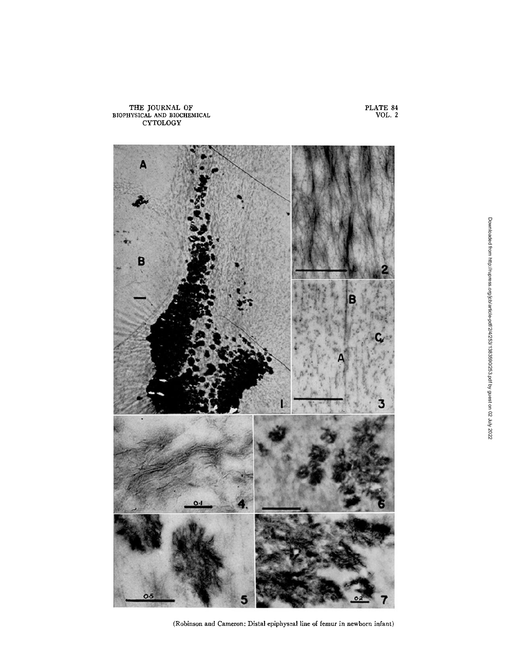

(Robinson and Cameron: Distal epiphyseal line of femur in newborn infant)

PLATE 84 VOL. 2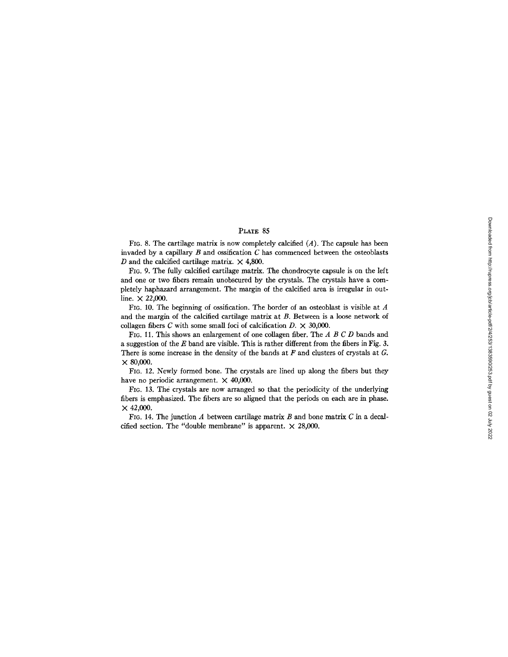# PLATE 85

FIG. 8. The cartilage matrix is now completely calcified  $(A)$ . The capsule has been invaded by a capillary  $B$  and ossification  $C$  has commenced between the osteoblasts D and the calcified cartilage matrix.  $\times$  4,800.

FIG. 9. The fully calcified cartilage matrix. The chondrocyte capsule is on the left and one or two fibers remain unobscured by the crystals. The crystals have a completely haphazard arrangement. The margin of the calcified area is irregular in outline.  $\times$  22,000.

FIG. 10. The beginning of ossification. The border of an osteoblast is visible at  $A$ and the margin of the calcified cartilage matrix at  $B$ . Between is a loose network of collagen fibers C with some small foci of calcification  $D. \times 30,000$ .

FIG. 11. This shows an enlargement of one collagen fiber. The A B C D bands and a suggestion of the E band are visible. This is rather different from the fibers in Fig. 3. There is some increase in the density of the bands at  $F$  and clusters of crystals at  $G$ . × 80,000.

FIG. 12. Newly formed bone. The crystals are lined up along the fibers but they have no periodic arrangement.  $\times$  40,000.

FIG. 13. The crystals are now arranged so that the periodicity of the underlying fibers is emphasized. The fibers are so aligned that the periods on each are in phase.  $\times$  42,000.

FIG. 14. The junction  $A$  between cartilage matrix  $B$  and bone matrix  $C$  in a decalcified section. The "double membrane" is apparent.  $\times$  28,000.